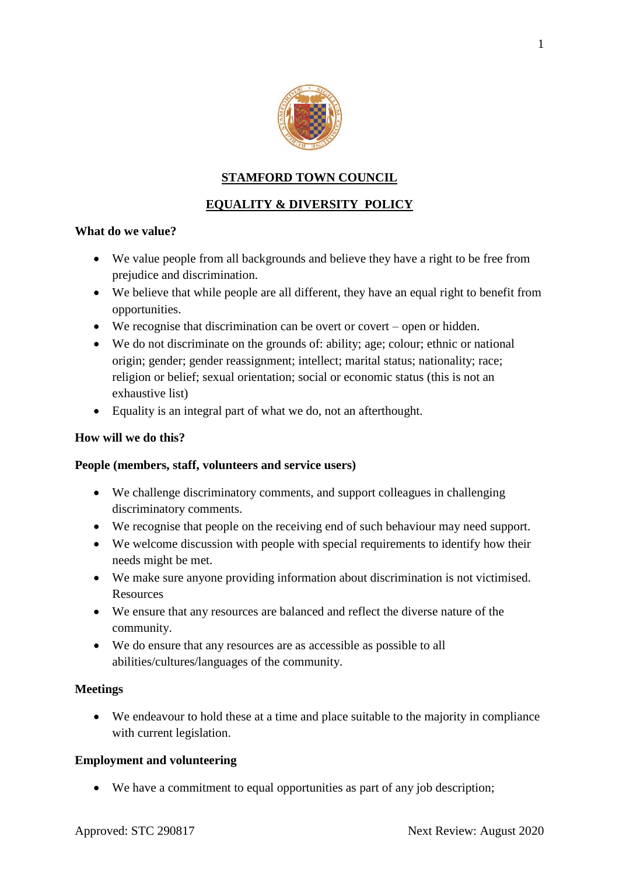

### **STAMFORD TOWN COUNCIL**

## **EQUALITY & DIVERSITY POLICY**

#### **What do we value?**

- We value people from all backgrounds and believe they have a right to be free from prejudice and discrimination.
- We believe that while people are all different, they have an equal right to benefit from opportunities.
- $\bullet$  We recognise that discrimination can be overt or covert open or hidden.
- We do not discriminate on the grounds of: ability; age; colour; ethnic or national origin; gender; gender reassignment; intellect; marital status; nationality; race; religion or belief; sexual orientation; social or economic status (this is not an exhaustive list)
- Equality is an integral part of what we do, not an afterthought.

#### **How will we do this?**

#### **People (members, staff, volunteers and service users)**

- We challenge discriminatory comments, and support colleagues in challenging discriminatory comments.
- We recognise that people on the receiving end of such behaviour may need support.
- We welcome discussion with people with special requirements to identify how their needs might be met.
- We make sure anyone providing information about discrimination is not victimised. Resources
- We ensure that any resources are balanced and reflect the diverse nature of the community.
- We do ensure that any resources are as accessible as possible to all abilities/cultures/languages of the community.

### **Meetings**

 We endeavour to hold these at a time and place suitable to the majority in compliance with current legislation.

### **Employment and volunteering**

We have a commitment to equal opportunities as part of any job description;